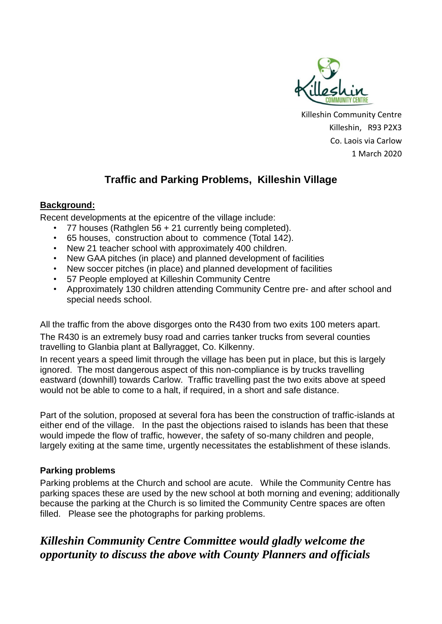

Killeshin Community Centre Killeshin, R93 P2X3 Co. Laois via Carlow 1 March 2020

## **Traffic and Parking Problems, Killeshin Village**

## **Background:**

Recent developments at the epicentre of the village include:

- 77 houses (Rathglen  $56 + 21$  currently being completed).
- 65 houses, construction about to commence (Total 142).
- New 21 teacher school with approximately 400 children.
- New GAA pitches (in place) and planned development of facilities
- New soccer pitches (in place) and planned development of facilities
- 57 People employed at Killeshin Community Centre
- Approximately 130 children attending Community Centre pre- and after school and special needs school.

All the traffic from the above disgorges onto the R430 from two exits 100 meters apart. The R430 is an extremely busy road and carries tanker trucks from several counties travelling to Glanbia plant at Ballyragget, Co. Kilkenny.

In recent years a speed limit through the village has been put in place, but this is largely ignored. The most dangerous aspect of this non-compliance is by trucks travelling eastward (downhill) towards Carlow. Traffic travelling past the two exits above at speed would not be able to come to a halt, if required, in a short and safe distance.

Part of the solution, proposed at several fora has been the construction of traffic-islands at either end of the village. In the past the objections raised to islands has been that these would impede the flow of traffic, however, the safety of so-many children and people, largely exiting at the same time, urgently necessitates the establishment of these islands.

## **Parking problems**

Parking problems at the Church and school are acute. While the Community Centre has parking spaces these are used by the new school at both morning and evening; additionally because the parking at the Church is so limited the Community Centre spaces are often filled. Please see the photographs for parking problems.

## *Killeshin Community Centre Committee would gladly welcome the opportunity to discuss the above with County Planners and officials*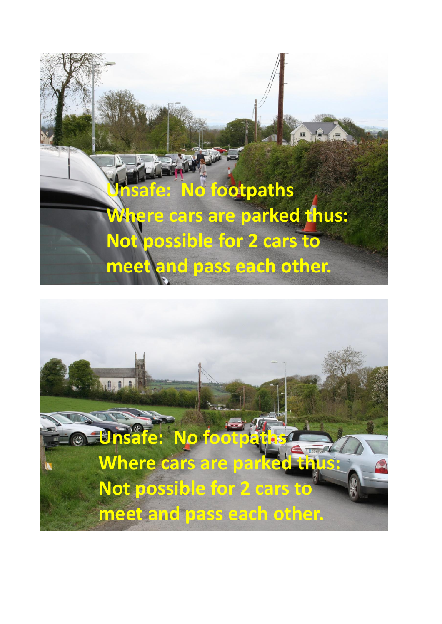